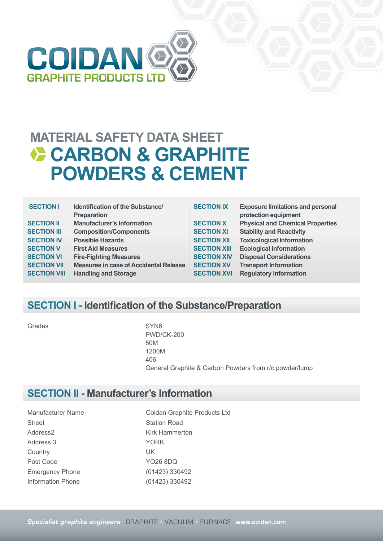

| <b>SECTION I</b>    | Identification of the Substance/<br><b>Preparation</b> |
|---------------------|--------------------------------------------------------|
| <b>SECTION II</b>   | <b>Manufacturer's Information</b>                      |
| <b>SECTION III</b>  | <b>Composition/Components</b>                          |
| <b>SECTION IV</b>   | <b>Possible Hazards</b>                                |
| <b>SECTION V</b>    | <b>First Aid Measures</b>                              |
| <b>SECTION VI</b>   | <b>Fire-Fighting Measures</b>                          |
| <b>SECTION VII</b>  | <b>Measures in case of Accidental Release</b>          |
| <b>SECTION VIII</b> | <b>Handling and Storage</b>                            |

| <b>SECTION IX</b>   | <b>Exposure limitations and personal</b><br>protection equipment |
|---------------------|------------------------------------------------------------------|
| <b>SECTION X</b>    | <b>Physical and Chemical Properties</b>                          |
| <b>SECTION XI</b>   | <b>Stability and Reactivity</b>                                  |
| <b>SECTION XII</b>  | <b>Toxicological Information</b>                                 |
| <b>SECTION XIII</b> | <b>Ecological Information</b>                                    |
| <b>SECTION XIV</b>  | <b>Disposal Considerations</b>                                   |
| <b>SECTION XV</b>   | <b>Transport Information</b>                                     |
| <b>SECTION XVI</b>  | <b>Regulatory Information</b>                                    |
|                     |                                                                  |

### **SECTION I - Identification of the Substance/Preparation**

Grades SYN6

PWD/CK-200 50M 1200M 406 General Graphite & Carbon Powders from r/c powder/lump

### **SECTION II - Manufacturer's Information**

Street Station Road Address2 Kirk Hammerton Address 3 YORK Country UK Post Code YO26 8DQ Emergency Phone (01423) 330492

Manufacturer Name Coidan Graphite Products Ltd Information Phone (01423) 330492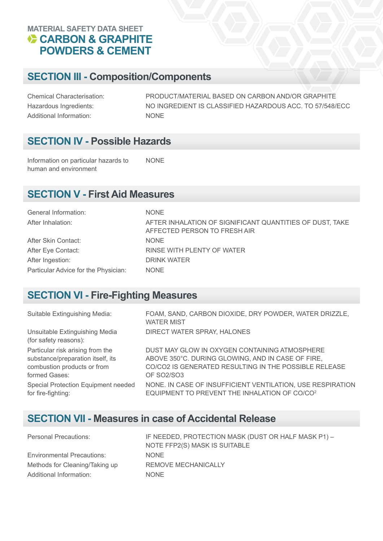### **SECTION III - Composition/Components**

Chemical Characterisation: PRODUCT/MATERIAL BASED ON CARBON AND/OR GRAPHITE Hazardous Ingredients: NO INGREDIENT IS CLASSIFIED HAZARDOUS ACC. TO 57/548/ECC Additional Information: NONE

### **SECTION IV - Possible Hazards**

Information on particular hazards to human and environment NONE

### **SECTION V - First Aid Measures**

| General Information:                 | <b>NONE</b>                                                                              |
|--------------------------------------|------------------------------------------------------------------------------------------|
| After Inhalation:                    | AFTER INHALATION OF SIGNIFICANT QUANTITIES OF DUST, TAKE<br>AFFECTED PERSON TO FRESH AIR |
| After Skin Contact:                  | <b>NONE</b>                                                                              |
| After Eye Contact:                   | RINSE WITH PLENTY OF WATER                                                               |
| After Ingestion:                     | DRINK WATER                                                                              |
| Particular Advice for the Physician: | <b>NONE</b>                                                                              |

### **SECTION VI - Fire-Fighting Measures**

| Suitable Extinguishing Media:                           | FOAM, SAND, CARBON DIOXIDE, DRY POWDER, WATER DRIZZLE,<br><b>WATER MIST</b> |
|---------------------------------------------------------|-----------------------------------------------------------------------------|
| Unsuitable Extinguishing Media<br>(for safety reasons): | DIRECT WATER SPRAY, HALONES                                                 |
| Particular risk arising from the                        | DUST MAY GLOW IN OXYGEN CONTAINING ATMOSPHERE                               |
| substance/preparation itself, its                       | ABOVE 350°C. DURING GLOWING, AND IN CASE OF FIRE,                           |
| combustion products or from                             | CO/CO2 IS GENERATED RESULTING IN THE POSSIBLE RELEASE                       |
| formed Gases:                                           | <b>OF SO2/SO3</b>                                                           |
| Special Protection Equipment needed                     | NONE. IN CASE OF INSUFFICIENT VENTILATION, USE RESPIRATION                  |
| for fire-fighting:                                      | EQUIPMENT TO PREVENT THE INHALATION OF CO/CO <sup>2</sup>                   |

### **SECTION VII - Measures in case of Accidental Release**

| Personal Precautions:             | IF NEEDED, PROTECTION MASK (DUST OR HALF MASK P1) -<br>NOTE FFP2(S) MASK IS SUITABLE |
|-----------------------------------|--------------------------------------------------------------------------------------|
| <b>Environmental Precautions:</b> | <b>NONE</b>                                                                          |
| Methods for Cleaning/Taking up    | REMOVE MECHANICALLY                                                                  |
| Additional Information:           | <b>NONE</b>                                                                          |
|                                   |                                                                                      |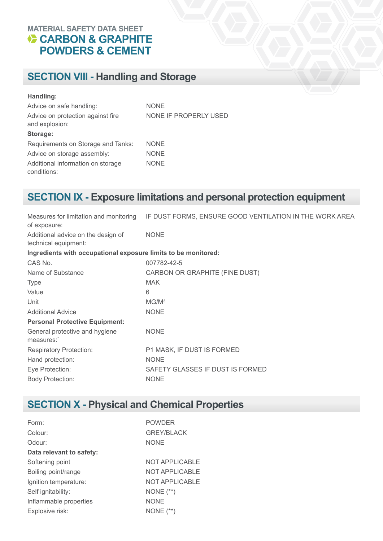## **SECTION VIII - Handling and Storage**

#### **Handling:**

| Advice on safe handling:                            | <b>NONE</b>           |
|-----------------------------------------------------|-----------------------|
| Advice on protection against fire<br>and explosion: | NONE IF PROPERLY USED |
| Storage:                                            |                       |
| Requirements on Storage and Tanks:                  | <b>NONE</b>           |
| Advice on storage assembly:                         | <b>NONE</b>           |
| Additional information on storage<br>conditions:    | <b>NONE</b>           |

## **SECTION IX - Exposure limitations and personal protection equipment**

| Measures for limitation and monitoring<br>of exposure:         | IF DUST FORMS, ENSURE GOOD VENTILATION IN THE WORK AREA |
|----------------------------------------------------------------|---------------------------------------------------------|
| Additional advice on the design of<br>technical equipment:     | <b>NONE</b>                                             |
| Ingredients with occupational exposure limits to be monitored: |                                                         |
| CAS No.                                                        | 007782-42-5                                             |
| Name of Substance                                              | CARBON OR GRAPHITE (FINE DUST)                          |
| <b>Type</b>                                                    | <b>MAK</b>                                              |
| Value                                                          | 6                                                       |
| Unit                                                           | MG/M <sup>3</sup>                                       |
| <b>Additional Advice</b>                                       | <b>NONE</b>                                             |
| <b>Personal Protective Equipment:</b>                          |                                                         |
| General protective and hygiene<br>measures:                    | <b>NONE</b>                                             |
| <b>Respiratory Protection:</b>                                 | P1 MASK, IF DUST IS FORMED                              |
| Hand protection:                                               | <b>NONE</b>                                             |
| Eye Protection:                                                | SAFETY GLASSES IF DUST IS FORMED                        |
| <b>Body Protection:</b>                                        | <b>NONE</b>                                             |
|                                                                |                                                         |

## **SECTION X - Physical and Chemical Properties**

| Form:                    | <b>POWDER</b>         |
|--------------------------|-----------------------|
| Colour:                  | <b>GREY/BLACK</b>     |
| Odour:                   | <b>NONE</b>           |
| Data relevant to safety: |                       |
| Softening point          | <b>NOT APPLICABLE</b> |
| Boiling point/range      | <b>NOT APPLICABLE</b> |
| Ignition temperature:    | <b>NOT APPLICABLE</b> |
| Self ignitability:       | NONE $(**)$           |
| Inflammable properties   | <b>NONE</b>           |
| Explosive risk:          | NONE $(**)$           |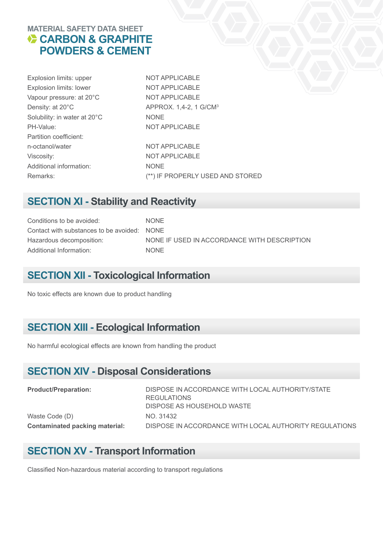| Explosion limits: upper      | NOT APPLICABLE                     |
|------------------------------|------------------------------------|
| Explosion limits: lower      | <b>NOT APPLICABLE</b>              |
| Vapour pressure: at 20°C     | <b>NOT APPLICABLE</b>              |
| Density: at 20°C             | APPROX. 1,4-2, 1 G/CM <sup>3</sup> |
| Solubility: in water at 20°C | <b>NONE</b>                        |
| PH-Value:                    | <b>NOT APPLICABLE</b>              |
| Partition coefficient:       |                                    |
| n-octanol/water              | NOT APPLICABLE                     |
| Viscosity:                   | NOT APPLICABLE                     |
| Additional information:      | <b>NONE</b>                        |
| Remarks:                     | (**) IF PROPERLY USED AND STORED   |
|                              |                                    |

### **SECTION XI - Stability and Reactivity**

Conditions to be avoided: NONE Contact with substances to be avoided: NONE Hazardous decomposition: NONE IF USED IN ACCORDANCE WITH DESCRIPTION Additional Information: NONE

### **SECTION XII - Toxicological Information**

No toxic effects are known due to product handling

### **SECTION XIII - Ecological Information**

No harmful ecological effects are known from handling the product

### **SECTION XIV - Disposal Considerations**

| <b>Product/Preparation:</b>    | DISPOSE IN ACCORDANCE WITH LOCAL AUTHORITY/STATE<br>REGULATIONS |
|--------------------------------|-----------------------------------------------------------------|
|                                | DISPOSE AS HOUSEHOLD WASTE                                      |
| Waste Code (D)                 | NO. 31432                                                       |
| Contaminated packing material: | DISPOSE IN ACCORDANCE WITH LOCAL AUTHORITY REGULATIONS          |

### **SECTION XV - Transport Information**

Classified Non-hazardous material according to transport regulations